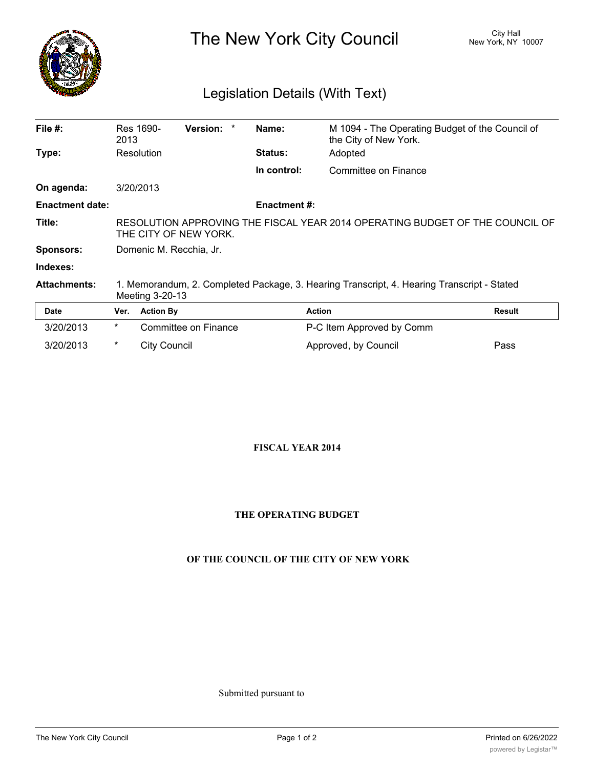

The New York City Council New York, NY 10007

# Legislation Details (With Text)

| File $#$ :             | Res 1690-<br>2013                                                                                     | Version: | Name:               | M 1094 - The Operating Budget of the Council of<br>the City of New York.                   |               |  |
|------------------------|-------------------------------------------------------------------------------------------------------|----------|---------------------|--------------------------------------------------------------------------------------------|---------------|--|
| Type:                  | Resolution                                                                                            |          | <b>Status:</b>      | Adopted                                                                                    |               |  |
|                        |                                                                                                       |          | In control:         | Committee on Finance                                                                       |               |  |
| On agenda:             | 3/20/2013                                                                                             |          |                     |                                                                                            |               |  |
| <b>Enactment date:</b> |                                                                                                       |          | <b>Enactment #:</b> |                                                                                            |               |  |
| Title:                 | RESOLUTION APPROVING THE FISCAL YEAR 2014 OPERATING BUDGET OF THE COUNCIL OF<br>THE CITY OF NEW YORK. |          |                     |                                                                                            |               |  |
| <b>Sponsors:</b>       | Domenic M. Recchia, Jr.                                                                               |          |                     |                                                                                            |               |  |
| Indexes:               |                                                                                                       |          |                     |                                                                                            |               |  |
| <b>Attachments:</b>    | Meeting 3-20-13                                                                                       |          |                     | 1. Memorandum, 2. Completed Package, 3. Hearing Transcript, 4. Hearing Transcript - Stated |               |  |
| <b>Date</b>            | <b>Action By</b><br>Ver.                                                                              |          |                     | <b>Action</b>                                                                              | <b>Result</b> |  |
|                        | $\sim$ $\sim$ $\sim$ $\sim$ $\sim$                                                                    |          |                     | .                                                                                          |               |  |

| Date      |   | <b>ver.</b> Action BV | ACTION                    | <b>Result</b> |
|-----------|---|-----------------------|---------------------------|---------------|
| 3/20/2013 | * | Committee on Finance  | P-C Item Approved by Comm |               |
| 3/20/2013 | * | City Council          | Approved, by Council      | Pass          |

#### **FISCAL YEAR 2014**

#### **THE OPERATING BUDGET**

#### **OF THE COUNCIL OF THE CITY OF NEW YORK**

Submitted pursuant to